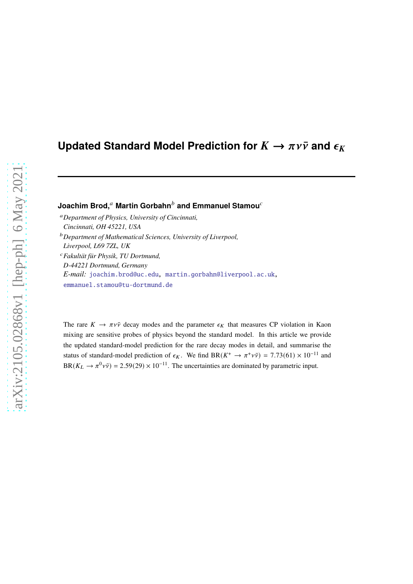# **Updated Standard Model Prediction for**  $K \to \pi \nu \bar{\nu}$  **and**  $\epsilon_K$

**Joachim Brod,<sup>a</sup> Martin Gorbahn<sup>b</sup> and Emmanuel Stamou<sup>c</sup>** 

<sup>𝑎</sup>*Department of Physics, University of Cincinnati, Cincinnati, OH 45221, USA* <sup>𝑏</sup>*Department of Mathematical Sciences, University of Liverpool, Liverpool, L69 7ZL, UK* <sup>𝑐</sup>*Fakultät für Physik, TU Dortmund,*

*D-44221 Dortmund, Germany E-mail:* [joachim.brod@uc.edu,](mailto:joachim.brod@uc.edu) [martin.gorbahn@liverpool.ac.uk,](mailto:martin.gorbahn@liverpool.ac.uk) [emmanuel.stamou@tu-dortmund.de](mailto:emmanuel.stamou@tu-dortmund.de)

The rare  $K \to \pi \nu \bar{\nu}$  decay modes and the parameter  $\epsilon_K$  that measures CP violation in Kaon mixing are sensitive probes of physics beyond the standard model. In this article we provide the updated standard-model prediction for the rare decay modes in detail, and summarise the status of standard-model prediction of  $\epsilon_K$ . We find BR( $K^+ \to \pi^+ \nu \bar{\nu}$ ) = 7.73(61) × 10<sup>-11</sup> and  $BR(K_L \to \pi^0 \nu \bar{\nu}) = 2.59(29) \times 10^{-11}$ . The uncertainties are dominated by parametric input.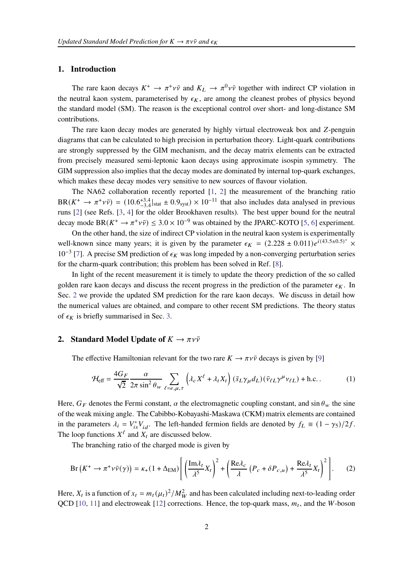## **1. Introduction**

The rare kaon decays  $K^+ \to \pi^+ \nu \bar{\nu}$  and  $K_L \to \pi^0 \nu \bar{\nu}$  together with indirect CP violation in the neutral kaon system, parameterised by  $\epsilon_K$ , are among the cleanest probes of physics beyond the standard model (SM). The reason is the exceptional control over short- and long-distance SM contributions.

The rare kaon decay modes are generated by highly virtual electroweak box and Z-penguin diagrams that can be calculated to high precision in perturbation theory. Light-quark contributions are strongly suppressed by the GIM mechanism, and the decay matrix elements can be extracted from precisely measured semi-leptonic kaon decays using approximate isospin symmetry. The GIM suppression also implies that the decay modes are dominated by internal top-quark exchanges, which makes these decay modes very sensitive to new sources of flavour violation.

The NA62 collaboration recently reported [\[1](#page-6-0), [2](#page-6-1)] the measurement of the branching ratio  $BR(K^+ \to \pi^+ \nu \bar{\nu}) = (10.6^{+3.4}_{-3.4}|_{\text{stat}} \pm 0.9_{\text{syst}}) \times 10^{-11}$  that also includes data analysed in previous runs [\[2\]](#page-6-1) (see Refs. [\[3](#page-6-2), [4\]](#page-6-3) for the older Brookhaven results). The best upper bound for the neutral decay mode BR( $K^+ \to \pi^+ \nu \bar{\nu}$ ) ≤ 3.0 × 10<sup>-9</sup> was obtained by the JPARC-KOTO [\[5,](#page-6-4) [6\]](#page-6-5) experiment.

On the other hand, the size of indirect CP violation in the neutral kaon system is experimentally well-known since many years; it is given by the parameter  $\epsilon_K = (2.228 \pm 0.011)e^{i(43.5\pm 0.5)^\circ} \times$  $10^{-3}$  [\[7](#page-6-6)]. A precise SM prediction of  $\epsilon_K$  was long impeded by a non-converging perturbation series for the charm-quark contribution; this problem has been solved in Ref. [\[8](#page-6-7)].

In light of the recent measurement it is timely to update the theory prediction of the so called golden rare kaon decays and discuss the recent progress in the prediction of the parameter  $\epsilon_K$ . In Sec. [2](#page-1-0) we provide the updated SM prediction for the rare kaon decays. We discuss in detail how the numerical values are obtained, and compare to other recent SM predictions. The theory status of  $\epsilon_K$  is briefly summarised in Sec. [3.](#page-4-0)

## <span id="page-1-0"></span>**2.** Standard Model Update of  $K \to \pi \nu \bar{\nu}$

The effective Hamiltonian relevant for the two rare  $K \to \pi \nu \bar{\nu}$  decays is given by [\[9\]](#page-6-8)

$$
\mathcal{H}_{\text{eff}} = \frac{4G_F}{\sqrt{2}} \frac{\alpha}{2\pi \sin^2 \theta_w} \sum_{\ell = e, \mu, \tau} \left( \lambda_c X^{\ell} + \lambda_t X_t \right) (\bar{s}_L \gamma_\mu d_L) (\bar{v}_{\ell L} \gamma^\mu v_{\ell L}) + \text{h.c.} \tag{1}
$$

Here,  $G_F$  denotes the Fermi constant,  $\alpha$  the electromagnetic coupling constant, and sin  $\theta_w$  the sine of the weak mixing angle. The Cabibbo-Kobayashi-Maskawa (CKM) matrix elements are contained in the parameters  $\lambda_i = V_{is}^* V_{id}$ . The left-handed fermion fields are denoted by  $f_L \equiv (1 - \gamma_5)/2f$ . The loop functions  $X^{\ell}$  and  $X_t$  are discussed below.

The branching ratio of the charged mode is given by

<span id="page-1-1"></span>
$$
\text{Br}\left(K^+ \to \pi^+ \nu \bar{\nu}(\gamma)\right) = \kappa_+(1 + \Delta_{\text{EM}}) \left[ \left(\frac{\text{Im}\lambda_t}{\lambda^5} X_t\right)^2 + \left(\frac{\text{Re}\lambda_c}{\lambda} \left(P_c + \delta P_{c,u}\right) + \frac{\text{Re}\lambda_t}{\lambda^5} X_t\right)^2 \right].\tag{2}
$$

Here,  $X_t$  is a function of  $x_t = m_t(\mu_t)^2/M_W^2$  and has been calculated including next-to-leading order QCD [\[10,](#page-6-9) [11](#page-6-10)] and electroweak [\[12\]](#page-6-11) corrections. Hence, the top-quark mass,  $m_t$ , and the W-boson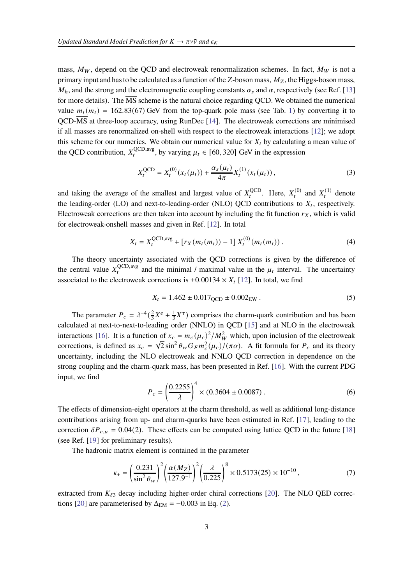mass,  $M_W$ , depend on the QCD and electroweak renormalization schemes. In fact,  $M_W$  is not a primary input and has to be calculated as a function of the Z-boson mass,  $M_z$ , the Higgs-boson mass,  $M_h$ , and the strong and the electromagnetic coupling constants  $\alpha_s$  and  $\alpha$ , respectively (see Ref. [\[13](#page-7-0)] for more details). The  $\overline{MS}$  scheme is the natural choice regarding QCD. We obtained the numerical value  $m_t(m_t) = 162.83(67)$  GeV from the top-quark pole mass (see Tab. [1\)](#page-3-0) by converting it to QCD-MS at three-loop accuracy, using RunDec [\[14](#page-7-1)]. The electroweak corrections are minimised if all masses are renormalized on-shell with respect to the electroweak interactions [\[12\]](#page-6-11); we adopt this scheme for our numerics. We obtain our numerical value for  $X_t$  by calculating a mean value of the QCD contribution,  $X_t^{\text{QCD,avg}}$  $_{t}^{QCD, avg}$ , by varying  $\mu_t \in [60, 320]$  GeV in the expression

$$
X_t^{\text{QCD}} = X_t^{(0)}(x_t(\mu_t)) + \frac{\alpha_s(\mu_t)}{4\pi} X_t^{(1)}(x_t(\mu_t)), \tag{3}
$$

and taking the average of the smallest and largest value of  $X_t^{\text{QCD}}$  $\mathcal{L}_t^{\text{QCD}}$ . Here,  $X_t^{(0)}$  and  $X_t^{(1)}$  denote the leading-order (LO) and next-to-leading-order (NLO) QCD contributions to  $X_t$ , respectively. Electroweak corrections are then taken into account by including the fit function  $r<sub>X</sub>$ , which is valid for electroweak-onshell masses and given in Ref. [\[12\]](#page-6-11). In total

$$
X_t = X_t^{\text{QCD,avg}} + [r_X(m_t(m_t)) - 1] X_t^{(0)}(m_t(m_t)).
$$
\n(4)

The theory uncertainty associated with the QCD corrections is given by the difference of the central value  $X_t^{\text{QCD,avg}}$  $\mathcal{L}_{t}^{\text{CD,avg}}$  and the minimal / maximal value in the  $\mu_{t}$  interval. The uncertainty associated to the electroweak corrections is  $\pm 0.00134 \times X_t$  [\[12](#page-6-11)]. In total, we find

$$
X_t = 1.462 \pm 0.017_{QCD} \pm 0.002_{EW} \,. \tag{5}
$$

The parameter  $P_c = \lambda^{-4} \left(\frac{2}{3}\right)$  $\frac{2}{3}X^{e} + \frac{1}{3}$  $\frac{1}{3}X^{\tau}$ ) comprises the charm-quark contribution and has been calculated at next-to-next-to-leading order (NNLO) in QCD [\[15](#page-7-2)] and at NLO in the electroweak interactions [\[16\]](#page-7-3). It is a function of  $x_c = m_c(\mu_c)^2/M_W^2$  which, upon inclusion of the electroweak corrections, is defined as  $x_c = \sqrt{2} \sin^2 \theta_w G_F m_c^2(\mu_c) / (\pi \alpha)$ . A fit formula for  $P_c$  and its theory uncertainty, including the NLO electroweak and NNLO QCD correction in dependence on the strong coupling and the charm-quark mass, has been presented in Ref. [\[16](#page-7-3)]. With the current PDG input, we find

$$
P_c = \left(\frac{0.2255}{\lambda}\right)^4 \times (0.3604 \pm 0.0087). \tag{6}
$$

The effects of dimension-eight operators at the charm threshold, as well as additional long-distance contributions arising from up- and charm-quarks have been estimated in Ref. [\[17\]](#page-7-4), leading to the correction  $\delta P_{c,\mu} = 0.04(2)$ . These effects can be computed using lattice QCD in the future [\[18](#page-7-5)] (see Ref. [\[19](#page-7-6)] for preliminary results).

The hadronic matrix element is contained in the parameter

$$
\kappa_{+} = \left(\frac{0.231}{\sin^2 \theta_w}\right)^2 \left(\frac{\alpha(M_Z)}{127.9^{-1}}\right)^2 \left(\frac{\lambda}{0.225}\right)^8 \times 0.5173(25) \times 10^{-10},\tag{7}
$$

extracted from  $K_{\ell 3}$  decay including higher-order chiral corrections [\[20](#page-7-7)]. The NLO QED correc-tions [\[20\]](#page-7-7) are parameterised by  $\Delta_{EM} = -0.003$  in Eq. [\(2\)](#page-1-1).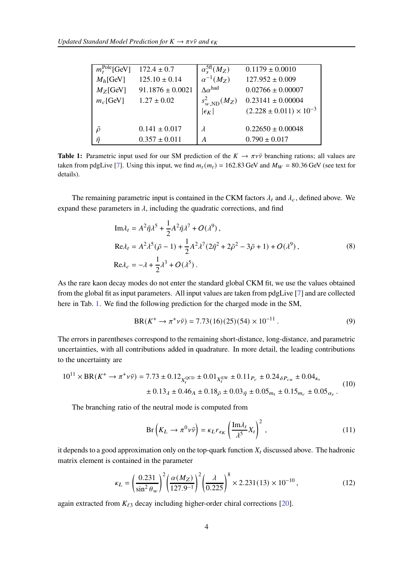<span id="page-3-0"></span>

| $m_t^{\text{Pole}}$ [GeV] | $172.4 \pm 0.7$                        | $\alpha_s^{\rm 5fl}(M_Z)$        | $0.1179 \pm 0.0010$                                                              |
|---------------------------|----------------------------------------|----------------------------------|----------------------------------------------------------------------------------|
| $M_h$ [GeV]               | $125.10 \pm 0.14$                      | $\alpha^{-1}(M_Z)$               | $127.952 \pm 0.009$                                                              |
| $M_Z$ [GeV]               | $91.1876 \pm 0.0021$                   | $\Lambda \alpha^{had}$           | $0.02766 \pm 0.00007$                                                            |
| $m_c$ [GeV]               | $1.27 \pm 0.02$                        | $s_{w,\text{ND}}^2(M_Z)$         | $0.23141 \pm 0.00004$                                                            |
| $\bar{O}$<br>$\bar{n}$    | $0.141 \pm 0.017$<br>$0.357 \pm 0.011$ | $ \epsilon_K $<br>$\lambda$<br>A | $(2.228 \pm 0.011) \times 10^{-3}$<br>$0.22650 \pm 0.00048$<br>$0.790 \pm 0.017$ |

**Table 1:** Parametric input used for our SM prediction of the  $K \to \pi \nu \bar{\nu}$  branching rations; all values are taken from pdgLive [\[7\]](#page-6-6). Using this input, we find  $m_t(m_t) = 162.83$  GeV and  $M_W = 80.36$  GeV (see text for details).

The remaining parametric input is contained in the CKM factors  $\lambda_t$  and  $\lambda_c$ , defined above. We expand these parameters in  $\lambda$ , including the quadratic corrections, and find

$$
\text{Im}\lambda_t = A^2 \bar{\eta} \lambda^5 + \frac{1}{2} A^2 \bar{\eta} \lambda^7 + O(\lambda^9),
$$
  
\n
$$
\text{Re}\lambda_t = A^2 \lambda^5 (\bar{\rho} - 1) + \frac{1}{2} A^2 \lambda^7 (2\bar{\eta}^2 + 2\bar{\rho}^2 - 3\bar{\rho} + 1) + O(\lambda^9),
$$
  
\n
$$
\text{Re}\lambda_c = -\lambda + \frac{1}{2} \lambda^3 + O(\lambda^5).
$$
 (8)

As the rare kaon decay modes do not enter the standard global CKM fit, we use the values obtained from the global fit as input parameters. All input values are taken from pdgLive [\[7\]](#page-6-6) and are collected here in Tab. [1.](#page-3-0) We find the following prediction for the charged mode in the SM,

$$
BR(K^{+} \to \pi^{+} \nu \bar{\nu}) = 7.73(16)(25)(54) \times 10^{-11}.
$$
 (9)

The errors in parentheses correspond to the remaining short-distance, long-distance, and parametric uncertainties, with all contributions added in quadrature. In more detail, the leading contributions to the uncertainty are

$$
10^{11} \times \text{BR}(K^+ \to \pi^+ \nu \bar{\nu}) = 7.73 \pm 0.12_{X_t^{\text{QCD}}} \pm 0.01_{X_t^{\text{EW}}} \pm 0.11_{P_c} \pm 0.24_{\delta P_{cu}} \pm 0.04_{\kappa_+} \pm 0.13_{\lambda} \pm 0.46_A \pm 0.18_{\bar{\rho}} \pm 0.03_{\bar{\eta}} \pm 0.05_{m_t} \pm 0.15_{m_c} \pm 0.05_{\alpha_s}.
$$
\n(10)

The branching ratio of the neutral mode is computed from

<span id="page-3-1"></span>
$$
Br\left(K_L \to \pi^0 \nu \bar{\nu}\right) = \kappa_L r_{\epsilon_K} \left(\frac{\text{Im}\lambda_t}{\lambda^5} X_t\right)^2, \qquad (11)
$$

it depends to a good approximation only on the top-quark function  $X_t$  discussed above. The hadronic matrix element is contained in the parameter

$$
\kappa_L = \left(\frac{0.231}{\sin^2 \theta_w}\right)^2 \left(\frac{\alpha(M_Z)}{127.9^{-1}}\right)^2 \left(\frac{\lambda}{0.225}\right)^8 \times 2.231(13) \times 10^{-10},\tag{12}
$$

again extracted from  $K_{\ell 3}$  decay including higher-order chiral corrections [\[20\]](#page-7-7).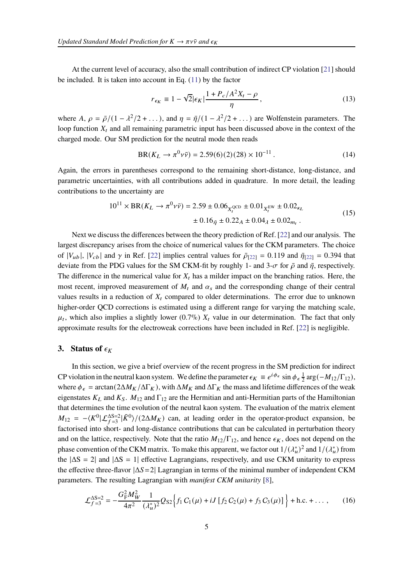At the current level of accuracy, also the small contribution of indirect CP violation [\[21](#page-7-8)] should be included. It is taken into account in Eq. [\(11\)](#page-3-1) by the factor

$$
r_{\epsilon_K} \equiv 1 - \sqrt{2} |\epsilon_K| \frac{1 + P_c/A^2 X_t - \rho}{\eta}, \qquad (13)
$$

where A,  $\rho = \bar{\rho}/(1 - \lambda^2/2 + ...)$ , and  $\eta = \bar{\eta}/(1 - \lambda^2/2 + ...)$  are Wolfenstein parameters. The loop function  $X_t$  and all remaining parametric input has been discussed above in the context of the charged mode. Our SM prediction for the neutral mode then reads

$$
BR(K_L \to \pi^0 \nu \bar{\nu}) = 2.59(6)(2)(28) \times 10^{-11} . \tag{14}
$$

Again, the errors in parentheses correspond to the remaining short-distance, long-distance, and parametric uncertainties, with all contributions added in quadrature. In more detail, the leading contributions to the uncertainty are

$$
10^{11} \times \text{BR}(K_L \to \pi^0 \nu \bar{\nu}) = 2.59 \pm 0.06_{X_t^{\text{QCD}}} \pm 0.01_{X_t^{\text{EW}}} \pm 0.02_{\kappa_L} \n\pm 0.16_{\bar{\eta}} \pm 0.22_A \pm 0.04_{\lambda} \pm 0.02_{m_t} .
$$
\n(15)

Next we discuss the differences between the theory prediction of Ref. [\[22](#page-7-9)] and our analysis. The largest discrepancy arises from the choice of numerical values for the CKM parameters. The choice of  $|V_{ub}|$ ,  $|V_{cb}|$  and  $\gamma$  in Ref. [\[22\]](#page-7-9) implies central values for  $\bar{\rho}_{[22]} = 0.119$  $\bar{\rho}_{[22]} = 0.119$  $\bar{\rho}_{[22]} = 0.119$  and  $\bar{\eta}_{[22]} = 0.394$  $\bar{\eta}_{[22]} = 0.394$  $\bar{\eta}_{[22]} = 0.394$  that deviate from the PDG values for the SM CKM-fit by roughly 1- and 3- $\sigma$  for  $\bar{\rho}$  and  $\bar{\eta}$ , respectively. The difference in the numerical value for  $X_t$  has a milder impact on the branching ratios. Here, the most recent, improved measurement of  $M_t$  and  $\alpha_s$  and the corresponding change of their central values results in a reduction of  $X_t$  compared to older determinations. The error due to unknown higher-order QCD corrections is estimated using a different range for varying the matching scale,  $\mu_t$ , which also implies a slightly lower (0.7%)  $X_t$  value in our determination. The fact that only approximate results for the electroweak corrections have been included in Ref. [\[22](#page-7-9)] is negligible.

### <span id="page-4-0"></span>**3.** Status of  $\epsilon_K$

In this section, we give a brief overview of the recent progress in the SM prediction for indirect CP violation in the neutral kaon system. We define the parameter  $\epsilon_K \equiv e^{i\phi_{\epsilon}} \sin \phi_{\epsilon} \frac{1}{2}$  $\frac{1}{2} \arg(-M_{12}/\Gamma_{12}),$ where  $\phi_{\epsilon} = \arctan(2\Delta M_K/\Delta \Gamma_K)$ , with  $\Delta M_K$  and  $\Delta \Gamma_K$  the mass and lifetime differences of the weak eigenstates  $K_L$  and  $K_S$ .  $M_{12}$  and  $\Gamma_{12}$  are the Hermitian and anti-Hermitian parts of the Hamiltonian that determines the time evolution of the neutral kaon system. The evaluation of the matrix element  $M_{12} = -\langle K^0 | \mathcal{L}_{f=3}^{\Delta S=2} | \bar{K}^0 \rangle / (2 \Delta M_K)$  can, at leading order in the operator-product expansion, be factorised into short- and long-distance contributions that can be calculated in perturbation theory and on the lattice, respectively. Note that the ratio  $M_{12}/\Gamma_{12}$ , and hence  $\epsilon_K$ , does not depend on the phase convention of the CKM matrix. To make this apparent, we factor out  $1/(\lambda_u^*)^2$  and  $1/(\lambda_u^*)$  from the  $|\Delta S = 2|$  and  $|\Delta S = 1|$  effective Lagrangians, respectively, and use CKM unitarity to express the effective three-flavor  $|\Delta S = 2|$  Lagrangian in terms of the minimal number of independent CKM parameters. The resulting Lagrangian with *manifest CKM unitarity* [\[8\]](#page-6-7),

$$
\mathcal{L}_{f=3}^{\Delta S=2} = -\frac{G_{\rm F}^2 M_W^2}{4\pi^2} \frac{1}{(\lambda_u^*)^2} Q_{S2} \Big\{ f_1 C_1(\mu) + iJ \left[ f_2 C_2(\mu) + f_3 C_3(\mu) \right] \Big\} + \text{h.c.} + \dots, \tag{16}
$$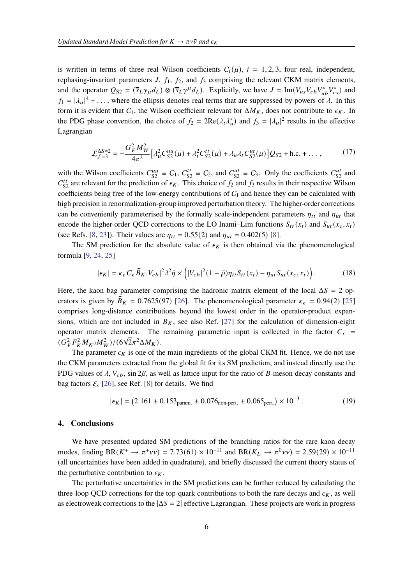is written in terms of three real Wilson coefficients  $C_i(\mu)$ ,  $i = 1, 2, 3$ , four real, independent, rephasing-invariant parameters  $J, f_1, f_2$ , and  $f_3$  comprising the relevant CKM matrix elements, and the operator  $Q_{S2} = (\bar{s}_L \gamma_\mu d_L) \otimes (\bar{s}_L \gamma^\mu d_L)$ . Explicitly, we have  $J = \text{Im}(V_{us} V_{cb} V_{ub}^* V_{cs}^*)$  and  $f_1 = |\lambda_u|^4 + \dots$ , where the ellipsis denotes real terms that are suppressed by powers of  $\lambda$ . In this form it is evident that  $C_1$ , the Wilson coefficient relevant for  $\Delta M_K$ , does not contribute to  $\epsilon_K$ . In the PDG phase convention, the choice of  $f_2 = 2\text{Re}(\lambda_t \lambda_u^*)$  and  $f_3 = |\lambda_u|^2$  results in the effective Lagrangian

$$
\mathcal{L}_{f=3}^{\Delta S=2} = -\frac{G_F^2 M_W^2}{4\pi^2} \Big[ \lambda_u^2 C_{S2}^{uu}(\mu) + \lambda_t^2 C_{S2}^{tt}(\mu) + \lambda_u \lambda_t C_{S2}^{ut}(\mu) \Big] Q_{S2} + \text{h.c.} + \dots, \tag{17}
$$

with the Wilson coefficients  $C_{S2}^{uu} \equiv C_1$ ,  $C_{S2}^{tt} \equiv C_2$ , and  $C_{S2}^{ut} \equiv C_3$ . Only the coefficients  $C_{S2}^{ut}$  and  $C_{S2}^{tt}$  are relevant for the prediction of  $\epsilon_K$ . This choice of  $f_2$  and  $f_3$  results in their respective Wilson coefficients being free of the low-energy contributions of  $C_1$  and hence they can be calculated with high precision in renormalization-group improved perturbation theory. The higher-order corrections can be conveniently parameterised by the formally scale-independent parameters  $\eta_{tt}$  and  $\eta_{ut}$  that encode the higher-order QCD corrections to the LO Inami–Lim functions  $S_{tt}(x_t)$  and  $S_{ut}(x_c, x_t)$ (see Refs. [\[8,](#page-6-7) [23](#page-7-10)]). Their values are  $\eta_{tt} = 0.55(2)$  and  $\eta_{ut} = 0.402(5)$  [\[8](#page-6-7)].

The SM prediction for the absolute value of  $\epsilon_K$  is then obtained via the phenomenological formula [\[9](#page-6-8), [24,](#page-7-11) [25](#page-7-12)]

$$
|\epsilon_K| = \kappa_{\epsilon} C_{\epsilon} \widehat{B}_K |V_{cb}|^2 \lambda^2 \bar{\eta} \times \left( |V_{cb}|^2 (1 - \bar{\rho}) \eta_{tt} S_{tt}(x_t) - \eta_{ut} S_{ut}(x_c, x_t) \right). \tag{18}
$$

Here, the kaon bag parameter comprising the hadronic matrix element of the local  $\Delta S = 2$  operators is given by  $\widehat{B}_K = 0.7625(97)$  [\[26](#page-7-13)]. The phenomenological parameter  $\kappa_{\epsilon} = 0.94(2)$  [\[25](#page-7-12)] comprises long-distance contributions beyond the lowest order in the operator-product expansions, which are not included in  $B_K$ , see also Ref. [\[27](#page-7-14)] for the calculation of dimension-eight operator matrix elements. The remaining parametric input is collected in the factor  $C_{\epsilon}$  =  $(G_F^2 F_K^2 M_{K^0} M_W^2) / (6\sqrt{2}\pi^2 \Delta M_K).$ 

The parameter  $\epsilon_K$  is one of the main ingredients of the global CKM fit. Hence, we do not use the CKM parameters extracted from the global fit for its SM prediction, and instead directly use the PDG values of  $\lambda$ ,  $V_{cb}$ , sin 2 $\beta$ , as well as lattice input for the ratio of B-meson decay constants and bag factors  $\xi_s$  [\[26\]](#page-7-13), see Ref. [\[8](#page-6-7)] for details. We find

$$
|\epsilon_K| = (2.161 \pm 0.153_{\text{param.}} \pm 0.076_{\text{non-pert.}} \pm 0.065_{\text{pert.}}) \times 10^{-3} \,. \tag{19}
$$

### **4. Conclusions**

We have presented updated SM predictions of the branching ratios for the rare kaon decay modes, finding BR( $K^+ \to \pi^+ \nu \bar{\nu}$ ) = 7.73(61) × 10<sup>-11</sup> and BR( $K_L \to \pi^0 \nu \bar{\nu}$ ) = 2.59(29) × 10<sup>-11</sup> (all uncertainties have been added in quadrature), and briefly discussed the current theory status of the perturbative contribution to  $\epsilon_K$ .

The perturbative uncertainties in the SM predictions can be further reduced by calculating the three-loop QCD corrections for the top-quark contributions to both the rare decays and  $\epsilon_K$ , as well as electroweak corrections to the  $|\Delta S = 2|$  effective Lagrangian. These projects are work in progress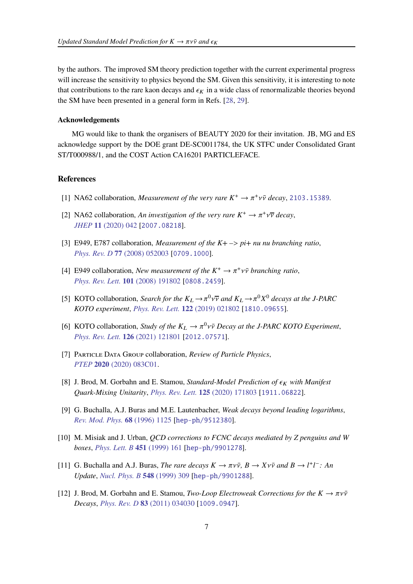by the authors. The improved SM theory prediction together with the current experimental progress will increase the sensitivity to physics beyond the SM. Given this sensitivity, it is interesting to note that contributions to the rare kaon decays and  $\epsilon_K$  in a wide class of renormalizable theories beyond the SM have been presented in a general form in Refs. [\[28](#page-7-15), [29](#page-7-16)].

#### **Acknowledgements**

MG would like to thank the organisers of BEAUTY 2020 for their invitation. JB, MG and ES acknowledge support by the DOE grant DE-SC0011784, the UK STFC under Consolidated Grant ST/T000988/1, and the COST Action CA16201 PARTICLEFACE.

#### **References**

- <span id="page-6-0"></span>[1] NA62 collaboration, *Measurement of the very rare*  $K^+ \to \pi^+ \nu \bar{\nu}$  decay, [2103.15389](https://arxiv.org/abs/2103.15389).
- <span id="page-6-1"></span>[2] NA62 collaboration, *An investigation of the very rare*  $K^+ \to \pi^+ \nu \overline{\nu}$  decay, *JHEP* **11** [\(2020\) 042](https://doi.org/10.1007/JHEP11(2020)042) [[2007.08218](https://arxiv.org/abs/2007.08218)].
- <span id="page-6-2"></span>[3] E949, E787 collaboration, *Measurement of the K+ –*> *pi+ nu nu branching ratio*, *Phys. Rev. D* **77** [\(2008\) 052003](https://doi.org/10.1103/PhysRevD.77.052003) [[0709.1000](https://arxiv.org/abs/0709.1000)].
- <span id="page-6-3"></span>[4] E949 collaboration, *New measurement of the*  $K^+ \to \pi^+ \nu \bar{\nu}$  *branching ratio*, *[Phys. Rev. Lett.](https://doi.org/10.1103/PhysRevLett.101.191802)* **101** (2008) 191802 [[0808.2459](https://arxiv.org/abs/0808.2459)].
- <span id="page-6-4"></span>[5] KOTO collaboration, *Search for the*  $K_L \to \pi^0 \nu \overline{\nu}$  and  $K_L \to \pi^0 X^0$  decays at the J-PARC *KOTO experiment*, *[Phys. Rev. Lett.](https://doi.org/10.1103/PhysRevLett.122.021802)* **122** (2019) 021802 [[1810.09655](https://arxiv.org/abs/1810.09655)].
- <span id="page-6-5"></span>[6] KOTO collaboration, *Study of the*  $K_L \rightarrow \pi^0 \nu \bar{\nu}$  *Decay at the J-PARC KOTO Experiment*, *[Phys. Rev. Lett.](https://doi.org/10.1103/PhysRevLett.126.121801)* **126** (2021) 121801 [[2012.07571](https://arxiv.org/abs/2012.07571)].
- <span id="page-6-6"></span>[7] Particle Data Group collaboration, *Review of Particle Physics*, *PTEP* **2020** [\(2020\) 083C01.](https://doi.org/10.1093/ptep/ptaa104)
- <span id="page-6-7"></span>[8] J. Brod, M. Gorbahn and E. Stamou, *Standard-Model Prediction of*  $\epsilon_K$  *with Manifest Quark-Mixing Unitarity*, *[Phys. Rev. Lett.](https://doi.org/10.1103/PhysRevLett.125.171803)* **125** (2020) 171803 [[1911.06822](https://arxiv.org/abs/1911.06822)].
- <span id="page-6-8"></span>[9] G. Buchalla, A.J. Buras and M.E. Lautenbacher, *Weak decays beyond leading logarithms*, *[Rev. Mod. Phys.](https://doi.org/10.1103/RevModPhys.68.1125)* **68** (1996) 1125 [[hep-ph/9512380](https://arxiv.org/abs/hep-ph/9512380)].
- <span id="page-6-9"></span>[10] M. Misiak and J. Urban, *QCD corrections to FCNC decays mediated by Z penguins and W boxes*, *[Phys. Lett. B](https://doi.org/10.1016/S0370-2693(99)00150-1)* **451** (1999) 161 [[hep-ph/9901278](https://arxiv.org/abs/hep-ph/9901278)].
- <span id="page-6-10"></span>[11] G. Buchalla and A.J. Buras, *The rare decays*  $K \to \pi \nu \bar{\nu}$ ,  $B \to X \nu \bar{\nu}$  and  $B \to l^+ l^-$ : An *Update*, *[Nucl. Phys. B](https://doi.org/10.1016/S0550-3213(99)00149-2)* **548** (1999) 309 [[hep-ph/9901288](https://arxiv.org/abs/hep-ph/9901288)].
- <span id="page-6-11"></span>[12] J. Brod, M. Gorbahn and E. Stamou, *Two-Loop Electroweak Corrections for the*  $K \to \pi \nu \bar{\nu}$ *Decays*, *Phys. Rev. D* **83** [\(2011\) 034030](https://doi.org/10.1103/PhysRevD.83.034030) [[1009.0947](https://arxiv.org/abs/1009.0947)].